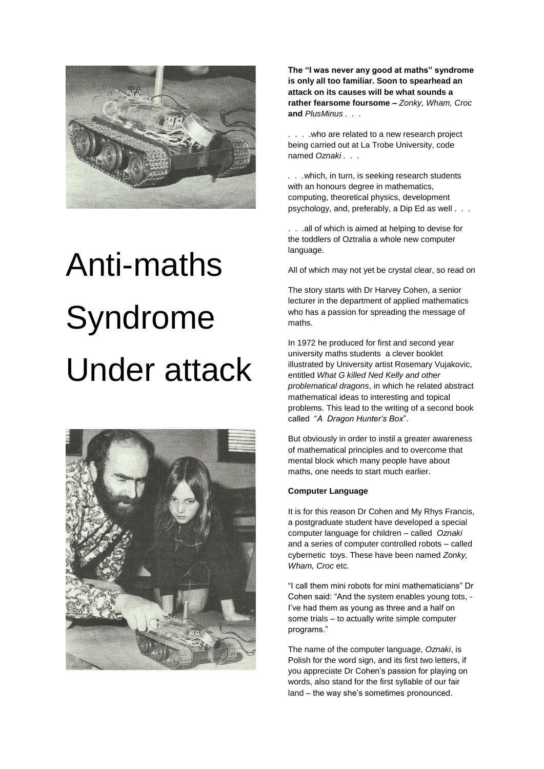

## Anti-maths Syndrome Under attack



**The "I was never any good at maths" syndrome is only all too familiar. Soon to spearhead an attack on its causes will be what sounds a rather fearsome foursome –** *Zonky, Wham, Croc*  **and** *PlusMinus . . .*

. . . .who are related to a new research project being carried out at La Trobe University, code named *Oznaki . . .*

*. . .*which, in turn, is seeking research students with an honours degree in mathematics, computing, theoretical physics, development psychology, and, preferably, a Dip Ed as well . . .

. . .all of which is aimed at helping to devise for the toddlers of Oztralia a whole new computer language.

All of which may not yet be crystal clear, so read on

The story starts with Dr Harvey Cohen, a senior lecturer in the department of applied mathematics who has a passion for spreading the message of maths.

In 1972 he produced for first and second year university maths students a clever booklet illustrated by University artist Rosemary Vujakovic, entitled *What G killed Ned Kelly and other problematical dragons*, in which he related abstract mathematical ideas to interesting and topical problems. This lead to the writing of a second book called "*A Dragon Hunter's Box*".

But obviously in order to instil a greater awareness of mathematical principles and to overcome that mental block which many people have about maths, one needs to start much earlier.

## **Computer Language**

It is for this reason Dr Cohen and My Rhys Francis, a postgraduate student have developed a special computer language for children – called *Oznaki*  and a series of computer controlled robots – called cybernetic toys. These have been named *Zonky, Wham, Croc* etc.

"I call them mini robots for mini mathematicians" Dr Cohen said: "And the system enables young tots, - I've had them as young as three and a half on some trials – to actually write simple computer programs."

The name of the computer language, *Oznaki*, is Polish for the word sign, and its first two letters, if you appreciate Dr Cohen's passion for playing on words, also stand for the first syllable of our fair land – the way she's sometimes pronounced.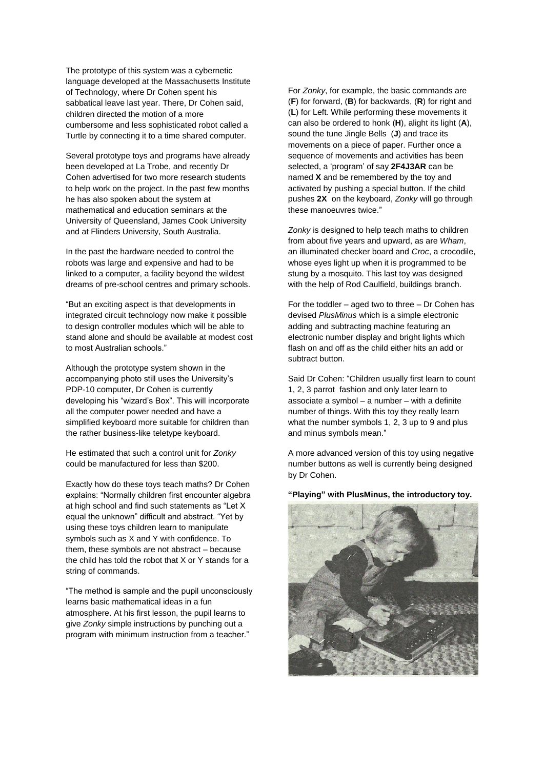The prototype of this system was a cybernetic language developed at the Massachusetts Institute of Technology, where Dr Cohen spent his sabbatical leave last year. There, Dr Cohen said, children directed the motion of a more cumbersome and less sophisticated robot called a Turtle by connecting it to a time shared computer.

Several prototype toys and programs have already been developed at La Trobe, and recently Dr Cohen advertised for two more research students to help work on the project. In the past few months he has also spoken about the system at mathematical and education seminars at the University of Queensland, James Cook University and at Flinders University, South Australia.

In the past the hardware needed to control the robots was large and expensive and had to be linked to a computer, a facility beyond the wildest dreams of pre-school centres and primary schools.

"But an exciting aspect is that developments in integrated circuit technology now make it possible to design controller modules which will be able to stand alone and should be available at modest cost to most Australian schools."

Although the prototype system shown in the accompanying photo still uses the University's PDP-10 computer, Dr Cohen is currently developing his "wizard's Box". This will incorporate all the computer power needed and have a simplified keyboard more suitable for children than the rather business-like teletype keyboard.

He estimated that such a control unit for *Zonky* could be manufactured for less than \$200.

Exactly how do these toys teach maths? Dr Cohen explains: "Normally children first encounter algebra at high school and find such statements as "Let X equal the unknown" difficult and abstract. "Yet by using these toys children learn to manipulate symbols such as X and Y with confidence. To them, these symbols are not abstract – because the child has told the robot that X or Y stands for a string of commands.

"The method is sample and the pupil unconsciously learns basic mathematical ideas in a fun atmosphere. At his first lesson, the pupil learns to give *Zonky* simple instructions by punching out a program with minimum instruction from a teacher."

For *Zonky*, for example, the basic commands are (**F**) for forward, (**B**) for backwards, (**R**) for right and (**L**) for Left. While performing these movements it can also be ordered to honk (**H**), alight its light (**A**), sound the tune Jingle Bells (**J**) and trace its movements on a piece of paper. Further once a sequence of movements and activities has been selected, a 'program' of say **2F4J3AR** can be named **X** and be remembered by the toy and activated by pushing a special button. If the child pushes **2X** on the keyboard, *Zonky* will go through these manoeuvres twice."

*Zonky* is designed to help teach maths to children from about five years and upward, as are *Wham*, an illuminated checker board and *Croc*, a crocodile, whose eyes light up when it is programmed to be stung by a mosquito. This last toy was designed with the help of Rod Caulfield, buildings branch.

For the toddler – aged two to three – Dr Cohen has devised *PlusMinus* which is a simple electronic adding and subtracting machine featuring an electronic number display and bright lights which flash on and off as the child either hits an add or subtract button.

Said Dr Cohen: "Children usually first learn to count 1, 2, 3 parrot fashion and only later learn to associate a symbol – a number – with a definite number of things. With this toy they really learn what the number symbols 1, 2, 3 up to 9 and plus and minus symbols mean."

A more advanced version of this toy using negative number buttons as well is currently being designed by Dr Cohen.

## **"Playing" with PlusMinus, the introductory toy.**